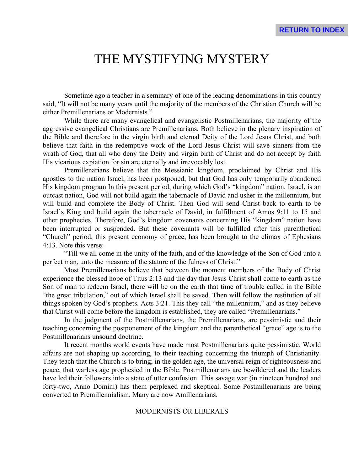# THE MYSTIFYING MYSTERY

Sometime ago a teacher in a seminary of one of the leading denominations in this country said, "It will not be many years until the majority of the members of the Christian Church will be either Premillenarians or Modernists."

While there are many evangelical and evangelistic Postmillenarians, the majority of the aggressive evangelical Christians are Premillenarians. Both believe in the plenary inspiration of the Bible and therefore in the virgin birth and eternal Deity of the Lord Jesus Christ, and both believe that faith in the redemptive work of the Lord Jesus Christ will save sinners from the wrath of God, that all who deny the Deity and virgin birth of Christ and do not accept by faith His vicarious expiation for sin are eternally and irrevocably lost.

Premillenarians believe that the Messianic kingdom, proclaimed by Christ and His apostles to the nation Israel, has been postponed, but that God has only temporarily abandoned His kingdom program In this present period, during which God's "kingdom" nation, Israel, is an outcast nation, God will not build again the tabernacle of David and usher in the millennium, but will build and complete the Body of Christ. Then God will send Christ back to earth to be Israel's King and build again the tabernacle of David, in fulfillment of Amos 9:11 to 15 and other prophecies. Therefore, God's kingdom covenants concerning His "kingdom" nation have been interrupted or suspended. But these covenants will be fulfilled after this parenthetical "Church" period, this present economy of grace, has been brought to the climax of Ephesians 4:13. Note this verse:

"Till we all come in the unity of the faith, and of the knowledge of the Son of God unto a perfect man, unto the measure of the stature of the fulness of Christ."

Most Premillenarians believe that between the moment members of the Body of Christ experience the blessed hope of Titus 2:13 and the day that Jesus Christ shall come to earth as the Son of man to redeem Israel, there will be on the earth that time of trouble called in the Bible "the great tribulation," out of which Israel shall be saved. Then will follow the restitution of all things spoken by God's prophets. Acts 3:21. This they call "the millennium," and as they believe that Christ will come before the kingdom is established, they are called "Premillenarians."

In the judgment of the Postmillenarians, the Premillenarians, are pessimistic and their teaching concerning the postponement of the kingdom and the parenthetical "grace" age is to the Postmillenarians unsound doctrine.

It recent months world events have made most Postmillenarians quite pessimistic. World affairs are not shaping up according, to their teaching concerning the triumph of Christianity. They teach that the Church is to bring; in the golden age, the universal reign of righteousness and peace, that warless age prophesied in the Bible. Postmillenarians are bewildered and the leaders have led their followers into a state of utter confusion. This savage war (in nineteen hundred and forty-two, Anno Domini) has them perplexed and skeptical. Some Postmillenarians are being converted to Premillennialism. Many are now Amillenarians.

## MODERNISTS OR LIBERALS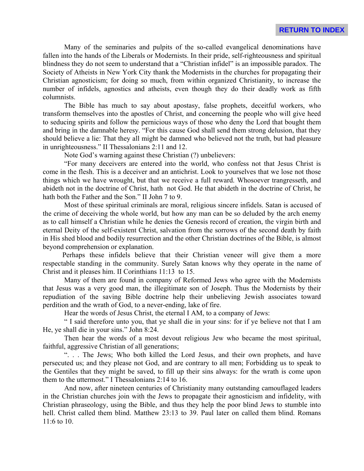Many of the seminaries and pulpits of the so-called evangelical denominations have fallen into the hands of the Liberals or Modernists. In their pride, self-righteousness and spiritual blindness they do not seem to understand that a "Christian infidel" is an impossible paradox. The Society of Atheists in New York City thank the Modernists in the churches for propagating their Christian agnosticism; for doing so much, from within organized Christianity, to increase the number of infidels, agnostics and atheists, even though they do their deadly work as fifth columnists.

The Bible has much to say about apostasy, false prophets, deceitful workers, who transform themselves into the apostles of Christ, and concerning the people who will give heed to seducing spirits and follow the pernicious ways of those who deny the Lord that bought them and bring in the damnable heresy. "For this cause God shall send them strong delusion, that they should believe a lie: That they all might be damned who believed not the truth, but had pleasure in unrighteousness." II Thessalonians 2:11 and 12.

Note God's warning against these Christian (?) unbelievers:

"For many deceivers are entered into the world, who confess not that Jesus Christ is come in the flesh. This is a deceiver and an antichrist. Look to yourselves that we lose not those things which we have wrought, but that we receive a full reward. Whosoever trangresseth, and abideth not in the doctrine of Christ, hath not God. He that abideth in the doctrine of Christ, he hath both the Father and the Son." II John 7 to 9.

Most of these spiritual criminals are moral, religious sincere infidels. Satan is accused of the crime of deceiving the whole world, but how any man can be so deluded by the arch enemy as to call himself a Christian while he denies the Genesis record of creation, the virgin birth and eternal Deity of the self-existent Christ, salvation from the sorrows of the second death by faith in His shed blood and bodily resurrection and the other Christian doctrines of the Bible, is almost beyond comprehension or explanation.

 Perhaps these infidels believe that their Christian veneer will give them a more respectable standing in the community. Surely Satan knows why they operate in the name of Christ and it pleases him. II Corinthians 11:13 to 15.

Many of them are found in company of Reformed Jews who agree with the Modernists that Jesus was a very good man, the illegitimate son of Joseph. Thus the Modernists by their repudiation of the saving Bible doctrine help their unbelieving Jewish associates toward perdition and the wrath of God, to a never-ending, lake of fire.

Hear the words of Jesus Christ, the eternal I AM, to a company of Jews:

" I said therefore unto you, that ye shall die in your sins: for if ye believe not that I am He, ye shall die in your sins." John 8:24.

Then hear the words of a most devout religious Jew who became the most spiritual, faithful, aggressive Christian of all generations;

 ". . . The Jews; Who both killed the Lord Jesus, and their own prophets, and have persecuted us; and they please not God, and are contrary to all men; Forbidding us to speak to the Gentiles that they might be saved, to fill up their sins always: for the wrath is come upon them to the uttermost." I Thessalonians 2:14 to 16.

And now, after nineteen centuries of Christianity many outstanding camouflaged leaders in the Christian churches join with the Jews to propagate their agnosticism and infidelity, with Christian phraseology, using the Bible, and thus they help the poor blind Jews to stumble into hell. Christ called them blind. Matthew 23:13 to 39. Paul later on called them blind. Romans 11:6 to 10.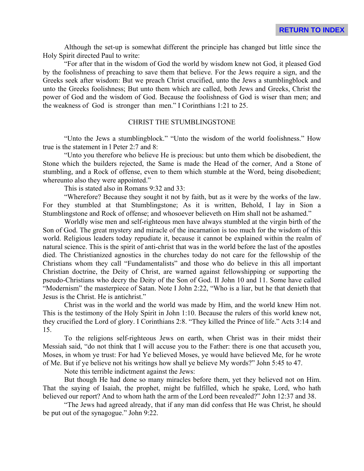Although the set-up is somewhat different the principle has changed but little since the Holy Spirit directed Paul to write:

"For after that in the wisdom of God the world by wisdom knew not God, it pleased God by the foolishness of preaching to save them that believe. For the Jews require a sign, and the Greeks seek after wisdom: But we preach Christ crucified, unto the Jews a stumblingblock and unto the Greeks foolishness; But unto them which are called, both Jews and Greeks, Christ the power of God and the wisdom of God. Because the foolishness of God is wiser than men; and the weakness of God is stronger than men." I Corinthians 1:21 to 25.

## CHRIST THE STUMBLINGSTONE

"Unto the Jews a stumblingblock." "Unto the wisdom of the world foolishness." How true is the statement in l Peter 2:7 and 8:

"Unto you therefore who believe He is precious: but unto them which be disobedient, the Stone which the builders rejected, the Same is made the Head of the corner, And a Stone of stumbling, and a Rock of offense, even to them which stumble at the Word, being disobedient; whereunto also they were appointed."

This is stated also in Romans 9:32 and 33:

"Wherefore? Because they sought it not by faith, but as it were by the works of the law. For they stumbled at that Stumblingstone; As it is written, Behold, I lay in Sion a Stumblingstone and Rock of offense; and whosoever believeth on Him shall not be ashamed."

Worldly wise men and self-righteous men have always stumbled at the virgin birth of the Son of God. The great mystery and miracle of the incarnation is too much for the wisdom of this world. Religious leaders today repudiate it, because it cannot be explained within the realm of natural science. This is the spirit of anti-christ that was in the world before the last of the apostles died. The Christianized agnostics in the churches today do not care for the fellowship of the Christians whom they call "Fundamentalists" and those who do believe in this all important Christian doctrine, the Deity of Christ, are warned against fellowshipping or supporting the pseudo-Christians who decry the Deity of the Son of God. II John 10 and 11. Some have called "Modernism" the masterpiece of Satan. Note I John 2:22, "Who is a liar, but he that denieth that Jesus is the Christ. He is antichrist."

Christ was in the world and the world was made by Him, and the world knew Him not. This is the testimony of the Holy Spirit in John 1:10. Because the rulers of this world knew not, they crucified the Lord of glory. I Corinthians 2:8. "They killed the Prince of life." Acts 3:14 and 15.

To the religions self-righteous Jews on earth, when Christ was in their midst their Messiah said, "do not think that I will accuse you to the Father: there is one that accuseth you, Moses, in whom ye trust: For had Ye believed Moses, ye would have believed Me, for he wrote of Me. But if ye believe not his writings how shall ye believe My words?" John 5:45 to 47.

Note this terrible indictment against the Jews:

But though He had done so many miracles before them, yet they believed not on Him. That the saying of Isaiah, the prophet, might be fulfilled, which he spake, Lord, who hath believed our report? And to whom hath the arm of the Lord been revealed?" John 12:37 and 38.

"The Jews had agreed already, that if any man did confess that He was Christ, he should be put out of the synagogue." John 9:22.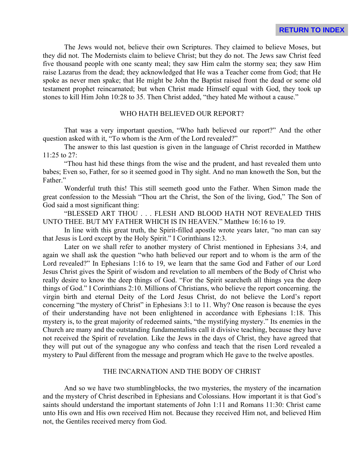The Jews would not, believe their own Scriptures. They claimed to believe Moses, but they did not. The Modernists claim to believe Christ; but they do not. The Jews saw Christ feed five thousand people with one scanty meal; they saw Him calm the stormy sea; they saw Him raise Lazarus from the dead; they acknowledged that He was a Teacher come from God; that He spoke as never men spake; that He might be John the Baptist raised front the dead or some old testament prophet reincarnated; but when Christ made Himself equal with God, they took up stones to kill Him John 10:28 to 35. Then Christ added, "they hated Me without a cause."

## WHO HATH BELIEVED OUR REPORT?

That was a very important question, "Who hath believed our report?" And the other question asked with it, "To whom is the Arm of the Lord revealed?"

The answer to this last question is given in the language of Christ recorded in Matthew 11:25 to 27:

"Thou hast hid these things from the wise and the prudent, and hast revealed them unto babes; Even so, Father, for so it seemed good in Thy sight. And no man knoweth the Son, but the Father."

Wonderful truth this! This still seemeth good unto the Father. When Simon made the great confession to the Messiah "Thou art the Christ, the Son of the living, God," The Son of God said a most significant thing:

"BLESSED ART THOU . . . FLESH AND BLOOD HATH NOT REVEALED THIS UNTO THEE. BUT MY FATHER WHICH IS IN HEAVEN." Matthew 16:16 to 19.

In line with this great truth, the Spirit-filled apostle wrote years later, "no man can say that Jesus is Lord except by the Holy Spirit." I Corinthians 12:3.

Later on we shall refer to another mystery of Christ mentioned in Ephesians 3:4, and again we shall ask the question "who hath believed our report and to whom is the arm of the Lord revealed?" In Ephesians 1:16 to 19, we learn that the same God and Father of our Lord Jesus Christ gives the Spirit of wisdom and revelation to all members of the Body of Christ who really desire to know the deep things of God. "For the Spirit searcheth all things yea the deep things of God." I Corinthians 2:10. Millions of Christians, who believe the report concerning. the virgin birth and eternal Deity of the Lord Jesus Christ, do not believe the Lord's report concerning "the mystery of Christ" in Ephesians 3:1 to 11. Why? One reason is because the eyes of their understanding have not been enlightened in accordance with Ephesians 1:18. This mystery is, to the great majority of redeemed saints, "the mystifying mystery." Its enemies in the Church are many and the outstanding fundamentalists call it divisive teaching, because they have not received the Spirit of revelation. Like the Jews in the days of Christ, they have agreed that they will put out of the synagogue any who confess and teach that the risen Lord revealed a mystery to Paul different from the message and program which He gave to the twelve apostles.

# THE INCARNATION AND THE BODY OF CHRIST

And so we have two stumblingblocks, the two mysteries, the mystery of the incarnation and the mystery of Christ described in Ephesians and Colossians. How important it is that God's saints should understand the important statements of John 1:11 and Romans 11:30: Christ came unto His own and His own received Him not. Because they received Him not, and believed Him not, the Gentiles received mercy from God.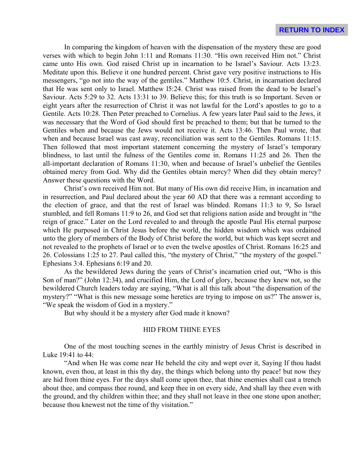In comparing the kingdom of heaven with the dispensation of the mystery these are good verses with which to begin John 1:11 and Romans 11:30. "His own received Him not." Christ came unto His own. God raised Christ up in incarnation to be Israel's Saviour. Acts 13:23. Meditate upon this. Believe it one hundred percent. Christ gave very positive instructions to His messengers, "go not into the way of the gentiles." Matthew 10:5. Christ, in incarnation declared that He was sent only to Israel. Matthew l5:24. Christ was raised from the dead to be Israel's Saviour. Acts 5:29 to 32. Acts 13:31 to 39. Believe this; for this truth is so Important. Seven or eight years after the resurrection of Christ it was not lawful for the Lord's apostles to go to a Gentile. Acts 10:28. Then Peter preached to Cornelius. A few years later Paul said to the Jews, it was necessary that the Word of God should first be preached to them; but that he turned to the Gentiles when and because the Jews would not receive it. Acts 13:46. Then Paul wrote, that when and because Israel was cast away, reconciliation was sent to the Gentiles. Romans 11:15. Then followed that most important statement concerning the mystery of Israel's temporary blindness, to last until the fulness of the Gentiles come in. Romans 11:25 and 26. Then the all-important declaration of Romans 11:30, when and because of Israel's unbelief the Gentiles obtained mercy from God. Why did the Gentiles obtain mercy? When did they obtain mercy? Answer these questions with the Word.

Christ's own received Him not. But many of His own did receive Him, in incarnation and in resurrection, and Paul declared about the year 60 AD that there was a remnant according to the election of grace, and that the rest of Israel was blinded. Romans 11:3 to 9, So Israel stumbled, and fell Romans 11:9 to 26, and God set that religions nation aside and brought in "the reign of grace." Later on the Lord revealed to and through the apostle Paul His eternal purpose which He purposed in Christ Jesus before the world, the hidden wisdom which was ordained unto the glory of members of the Body of Christ before the world, but which was kept secret and not revealed to the prophets of Israel or to even the twelve apostles of Christ. Romans 16:25 and 26. Colossians 1:25 to 27. Paul called this, "the mystery of Christ," "the mystery of the gospel." Ephesians 3:4. Ephesians 6:19 and 20.

As the bewildered Jews during the years of Christ's incarnation cried out, "Who is this Son of man?" (John 12:34), and crucified Him, the Lord of glory, because they knew not, so the bewildered Church leaders today are saying, "What is all this talk about "the dispensation of the mystery?" "What is this new message some heretics are trying to impose on us?" The answer is, "We speak the wisdom of God in a mystery."

But why should it be a mystery after God made it known?

#### HID FROM THINE EYES

One of the most touching scenes in the earthly ministry of Jesus Christ is described in Luke 19:41 to 44:

"And when He was come near He beheld the city and wept over it, Saying If thou hadst known, even thou, at least in this thy day, the things which belong unto thy peace! but now they are hid from thine eyes. For the days shall come upon thee, that thine enemies shall cast a trench about thee, and compass thee round, and keep thee in on every side, And shall lay thee even with the ground, and thy children within thee; and they shall not leave in thee one stone upon another; because thou knewest not the time of thy visitation."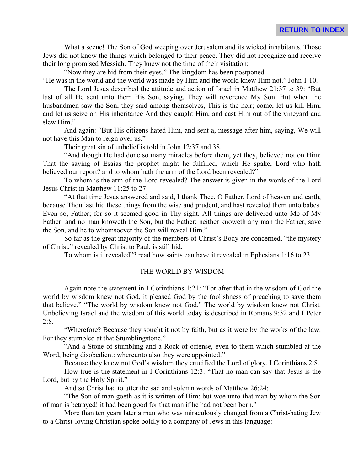What a scene! The Son of God weeping over Jerusalem and its wicked inhabitants. Those Jews did not know the things which belonged to their peace. They did not recognize and receive their long promised Messiah. They knew not the time of their visitation:

"Now they are hid from their eyes." The kingdom has been postponed.

"He was in the world and the world was made by Him and the world knew Him not." John 1:10.

The Lord Jesus described the attitude and action of Israel in Matthew 21:37 to 39: "But last of all He sent unto them His Son, saying, They will reverence My Son. But when the husbandmen saw the Son, they said among themselves, This is the heir; come, let us kill Him, and let us seize on His inheritance And they caught Him, and cast Him out of the vineyard and slew Him."

And again: "But His citizens hated Him, and sent a, message after him, saying, We will not have this Man to reign over us."

Their great sin of unbelief is told in John 12:37 and 38.

"And though He had done so many miracles before them, yet they, believed not on Him: That the saying of Esaias the prophet might he fulfilled, which He spake, Lord who hath believed our report? and to whom hath the arm of the Lord been revealed?"

To whom is the arm of the Lord revealed? The answer is given in the words of the Lord Jesus Christ in Matthew 11:25 to 27:

"At that time Jesus answered and said, I thank Thee, O Father, Lord of heaven and earth, because Thou last hid these things from the wise and prudent, and hast revealed them unto babes. Even so, Father; for so it seemed good in Thy sight. All things are delivered unto Me of My Father: and no man knoweth the Son, but the Father; neither knoweth any man the Father, save the Son, and he to whomsoever the Son will reveal Him."

So far as the great majority of the members of Christ's Body are concerned, "the mystery of Christ," revealed by Christ to Paul, is still hid.

To whom is it revealed"? read how saints can have it revealed in Ephesians 1:16 to 23.

## THE WORLD BY WISDOM

Again note the statement in I Corinthians 1:21: "For after that in the wisdom of God the world by wisdom knew not God, it pleased God by the foolishness of preaching to save them that believe." "The world by wisdom knew not God." The world by wisdom knew not Christ. Unbelieving Israel and the wisdom of this world today is described in Romans 9:32 and I Peter  $2:8.$ 

"Wherefore? Because they sought it not by faith, but as it were by the works of the law. For they stumbled at that Stumblingstone."

"And a Stone of stumbling and a Rock of offense, even to them which stumbled at the Word, being disobedient: whereunto also they were appointed."

Because they knew not God's wisdom they crucified the Lord of glory. I Corinthians 2:8.

How true is the statement in I Corinthians 12:3: "That no man can say that Jesus is the Lord, but by the Holy Spirit."

And so Christ had to utter the sad and solemn words of Matthew 26:24:

"The Son of man goeth as it is written of Him: but woe unto that man by whom the Son of man is betrayed! it had been good for that man if he had not been born."

More than ten years later a man who was miraculously changed from a Christ-hating Jew to a Christ-loving Christian spoke boldly to a company of Jews in this language: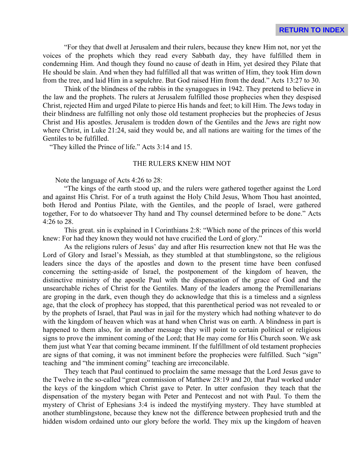"For they that dwell at Jerusalem and their rulers, because they knew Him not, nor yet the voices of the prophets which they read every Sabbath day, they have fulfilled them in condemning Him. And though they found no cause of death in Him, yet desired they Pilate that He should be slain. And when they had fulfilled all that was written of Him, they took Him down from the tree, and laid Him in a sepulchre. But God raised Him from the dead." Acts 13:27 to 30.

Think of the blindness of the rabbis in the synagogues in 1942. They pretend to believe in the law and the prophets. The rulers at Jerusalem fulfilled those prophecies when they despised Christ, rejected Him and urged Pilate to pierce His hands and feet; to kill Him. The Jews today in their blindness are fulfilling not only those old testament prophecies but the prophecies of Jesus Christ and His apostles. Jerusalem is trodden down of the Gentiles and the Jews are right now where Christ, in Luke 21:24, said they would be, and all nations are waiting for the times of the Gentiles to be fulfilled.

"They killed the Prince of life." Acts 3:14 and 15.

#### THE RULERS KNEW HIM NOT

Note the language of Acts 4:26 to 28:

"The kings of the earth stood up, and the rulers were gathered together against the Lord and against His Christ. For of a truth against the Holy Child Jesus, Whom Thou hast anointed, both Herod and Pontius Pilate, with the Gentiles, and the people of Israel, were gathered together, For to do whatsoever Thy hand and Thy counsel determined before to be done." Acts 4:26 to 28.

This great. sin is explained in I Corinthians 2:8: "Which none of the princes of this world knew: For had they known they would not have crucified the Lord of glory."

As the religions rulers of Jesus' day and after His resurrection knew not that He was the Lord of Glory and Israel's Messiah, as they stumbled at that stumblingstone, so the religious leaders since the days of the apostles and down to the present time have been confused concerning the setting-aside of Israel, the postponement of the kingdom of heaven, the distinctive ministry of the apostle Paul with the dispensation of the grace of God and the unsearchable riches of Christ for the Gentiles. Many of the leaders among the Premillenarians are groping in the dark, even though they do acknowledge that this is a timeless and a signless age, that the clock of prophecy has stopped, that this parenthetical period was not revealed to or by the prophets of Israel, that Paul was in jail for the mystery which had nothing whatever to do with the kingdom of heaven which was at hand when Christ was on earth. A blindness in part is happened to them also, for in another message they will point to certain political or religious signs to prove the imminent coming of the Lord; that He may come for His Church soon. We ask them just what Year that coming became imminent. If the fulfillment of old testament prophecies are signs of that coming, it was not imminent before the prophecies were fulfilled. Such "sign" teaching and "the imminent coming" teaching are irreconcilable.

They teach that Paul continued to proclaim the same message that the Lord Jesus gave to the Twelve in the so-called "great commission of Matthew 28:19 and 20, that Paul worked under the keys of the kingdom which Christ gave to Peter. In utter confusion they teach that the dispensation of the mystery began with Peter and Pentecost and not with Paul. To them the mystery of Christ of Ephesians 3:4 is indeed the mystifying mystery. They have stumbled at another stumblingstone, because they knew not the difference between prophesied truth and the hidden wisdom ordained unto our glory before the world. They mix up the kingdom of heaven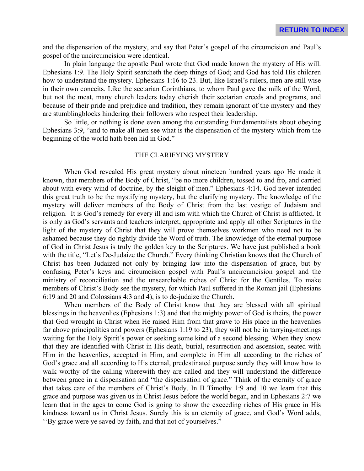and the dispensation of the mystery, and say that Peter's gospel of the circumcision and Paul's gospel of the uncircumcision were identical.

In plain language the apostle Paul wrote that God made known the mystery of His will. Ephesians 1:9. The Holy Spirit searcheth the deep things of God; and God has told His children how to understand the mystery. Ephesians 1:16 to 23. But, like Israel's rulers, men are still wise in their own conceits. Like the sectarian Corinthians, to whom Paul gave the milk of the Word, but not the meat, many church leaders today cherish their sectarian creeds and programs, and because of their pride and prejudice and tradition, they remain ignorant of the mystery and they are stumblingblocks hindering their followers who respect their leadership.

So little, or nothing is done even among the outstanding Fundamentalists about obeying Ephesians 3:9, "and to make all men see what is the dispensation of the mystery which from the beginning of the world hath been hid in God."

## THE CLARIFYING MYSTERY

When God revealed His great mystery about nineteen hundred years ago He made it known, that members of the Body of Christ, "be no more children, tossed to and fro, and carried about with every wind of doctrine, by the sleight of men." Ephesians 4:14. God never intended this great truth to be the mystifying mystery, but the clarifying mystery. The knowledge of the mystery will deliver members of the Body of Christ from the last vestige of Judaism and religion. It is God's remedy for every ill and ism with which the Church of Christ is afflicted. It is only as God's servants and teachers interpret, appropriate and apply all other Scriptures in the light of the mystery of Christ that they will prove themselves workmen who need not to be ashamed because they do rightly divide the Word of truth. The knowledge of the eternal purpose of God in Christ Jesus is truly the golden key to the Scriptures. We have just published a book with the title, "Let's De-Judaize the Church." Every thinking Christian knows that the Church of Christ has been Judaized not only by bringing law into the dispensation of grace, but by confusing Peter's keys and circumcision gospel with Paul's uncircumcision gospel and the ministry of reconciliation and the unsearchable riches of Christ for the Gentiles. To make members of Christ's Body see the mystery, for which Paul suffered in the Roman jail (Ephesians 6:19 and 20 and Colossians 4:3 and 4), is to de-judaize the Church.

When members of the Body of Christ know that they are blessed with all spiritual blessings in the heavenlies (Ephesians 1:3) and that the mighty power of God is theirs, the power that God wrought in Christ when He raised Him from that grave to His place in the heavenlies far above principalities and powers (Ephesians 1:19 to 23), they will not be in tarrying-meetings waiting for the Holy Spirit's power or seeking some kind of a second blessing. When they know that they are identified with Christ in His death, burial, resurrection and ascension, seated with Him in the heavenlies, accepted in Him, and complete in Him all according to the riches of God's grace and all according to His eternal, predestinated purpose surely they will know how to walk worthy of the calling wherewith they are called and they will understand the difference between grace in a dispensation and "the dispensation of grace." Think of the eternity of grace that takes care of the members of Christ's Body. In II Timothy 1:9 and 10 we learn that this grace and purpose was given us in Christ Jesus before the world began, and in Ephesians 2:7 we learn that in the ages to come God is going to show the exceeding riches of His grace in His kindness toward us in Christ Jesus. Surely this is an eternity of grace, and God's Word adds, ''By grace were ye saved by faith, and that not of yourselves."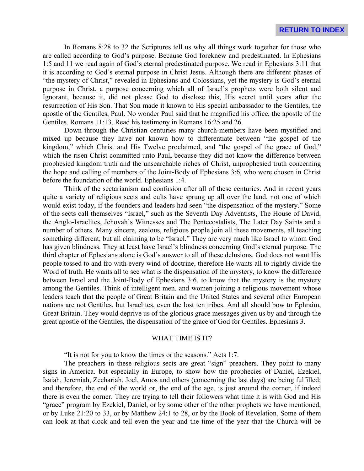In Romans 8:28 to 32 the Scriptures tell us why all things work together for those who are called according to God's purpose. Because God foreknew and predestinated. In Ephesians 1:5 and 11 we read again of God's eternal predestinated purpose. We read in Ephesians 3:11 that it is according to God's eternal purpose in Christ Jesus. Although there are different phases of "the mystery of Christ," revealed in Ephesians and Colossians, yet the mystery is God's eternal purpose in Christ, a purpose concerning which all of Israel's prophets were both silent and Ignorant, because it, did not please God to disclose this, His secret until years after the resurrection of His Son. That Son made it known to His special ambassador to the Gentiles, the apostle of the Gentiles, Paul. No wonder Paul said that he magnified his office, the apostle of the Gentiles. Romans 11:13. Read his testimony in Romans 16:25 and 26.

Down through the Christian centuries many church-members have been mystified and mixed up because they have not known how to differentiate between "the gospel of the kingdom," which Christ and His Twelve proclaimed, and "the gospel of the grace of God," which the risen Christ committed unto Paul**,** because they did not know the difference between prophesied kingdom truth and the unsearchable riches of Christ, unprophesied truth concerning the hope and calling of members of the Joint-Body of Ephesians 3:6, who were chosen in Christ before the foundation of the world. Ephesians 1:4.

Think of the sectarianism and confusion after all of these centuries. And in recent years quite a variety of religious sects and cults have sprung up all over the land, not one of which would exist today, if the founders and leaders had seen "the dispensation of the mystery." Some of the sects call themselves "Israel," such as the Seventh Day Adventists, The House of David, the Anglo-Israelites, Jehovah's Witnesses and The Pentecostalists, The Later Day Saints and a number of others. Many sincere, zealous, religious people join all these movements, all teaching something different, but all claiming to be "Israel." They are very much like Israel to whom God has given blindness. They at least have Israel's blindness concerning God's eternal purpose. The third chapter of Ephesians alone is God's answer to all of these delusions. God does not want His people tossed to and fro with every wind of doctrine, therefore He wants all to rightly divide the Word of truth. He wants all to see what is the dispensation of the mystery, to know the difference between Israel and the Joint-Body of Ephesians 3:6, to know that the mystery is the mystery among the Gentiles. Think of intelligent men. and women joining a religious movement whose leaders teach that the people of Great Britain and the United States and several other European nations are not Gentiles, but Israelites, even the lost ten tribes. And all should bow to Ephraim, Great Britain. They would deprive us of the glorious grace messages given us by and through the great apostle of the Gentiles, the dispensation of the grace of God for Gentiles. Ephesians 3.

#### WHAT TIME IS IT?

"It is not for you to know the times or the seasons." Acts 1:7.

The preachers in these religious sects are great "sign" preachers. They point to many signs in America. but especially in Europe, to show how the prophecies of Daniel, Ezekiel, Isaiah, Jeremiah, Zechariah, Joel, Amos and others (concerning the last days) are being fulfilled; and therefore, the end of the world or, the end of the age, is just around the corner, if indeed there is even the corner. They are trying to tell their followers what time it is with God and His "grace" program by Ezekiel, Daniel, or by some other of the other prophets we have mentioned, or by Luke 21:20 to 33, or by Matthew 24:1 to 28, or by the Book of Revelation. Some of them can look at that clock and tell even the year and the time of the year that the Church will be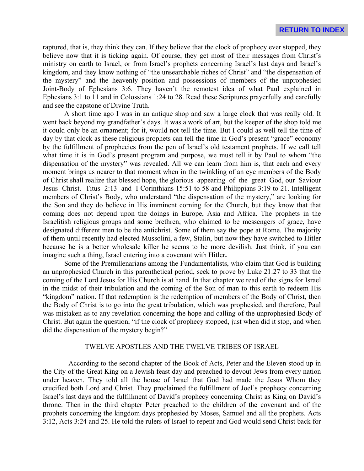raptured, that is, they think they can. If they believe that the clock of prophecy ever stopped, they believe now that it is ticking again. Of course, they get most of their messages from Christ's ministry on earth to Israel, or from Israel's prophets concerning Israel's last days and Israel's kingdom, and they know nothing of "the unsearchable riches of Christ" and "the dispensation of the mystery" and the heavenly position and possessions of members of the unprophesied Joint-Body of Ephesians 3:6. They haven't the remotest idea of what Paul explained in Ephesians 3:1 to 11 and in Colossians 1:24 to 28. Read these Scriptures prayerfully and carefully and see the capstone of Divine Truth.

A short time ago I was in an antique shop and saw a large clock that was really old. It went back beyond my grandfather's days. It was a work of art, but the keeper of the shop told me it could only be an ornament; for it, would not tell the time. But I could as well tell the time of day by that clock as these religious prophets can tell the time in God's present "grace" economy by the fulfillment of prophecies from the pen of Israel's old testament prophets. If we call tell what time it is in God's present program and purpose, we must tell it by Paul to whom "the dispensation of the mystery" was revealed. All we can learn from him is, that each and every moment brings us nearer to that moment when in the twinkling of an eye members of the Body of Christ shall realize that blessed hope, the glorious appearing of the great God, our Saviour Jesus Christ. Titus 2:13 and I Corinthians 15:51 to 58 and Philippians 3:19 to 21. Intelligent members of Christ's Body, who understand "the dispensation of the mystery," are looking for the Son and they do believe in His imminent corning for the Church, but they know that that coming does not depend upon the doings in Europe, Asia and Africa. The prophets in the Israelitish religious groups and some brethren, who claimed to be messengers of grace, have designated different men to be the antichrist. Some of them say the pope at Rome. The majority of them until recently had elected Mussolini, a few, Stalin, but now they have switched to Hitler because he is a better wholesale killer he seems to be more devilish. Just think, if you can imagine such a thing, Israel entering into a covenant with Hitler**.**

Some of the Premillenarians among the Fundamentalists, who claim that God is building an unprophesied Church in this parenthetical period, seek to prove by Luke 21:27 to 33 that the coming of the Lord Jesus for His Church is at hand. In that chapter we read of the signs for Israel in the midst of their tribulation and the coming of the Son of man to this earth to redeem His "kingdom" nation. If that redemption is the redemption of members of the Body of Christ, then the Body of Christ is to go into the great tribulation, which was prophesied, and therefore, Paul was mistaken as to any revelation concerning the hope and calling of the unprophesied Body of Christ. But again the question, "if the clock of prophecy stopped, just when did it stop, and when did the dispensation of the mystery begin?"

# TWELVE APOSTLES AND THE TWELVE TRIBES OF ISRAEL

 According to the second chapter of the Book of Acts, Peter and the Eleven stood up in the City of the Great King on a Jewish feast day and preached to devout Jews from every nation under heaven. They told all the house of Israel that God had made the Jesus Whom they crucified both Lord and Christ. They proclaimed the fulfillment of Joel's prophecy concerning Israel's last days and the fulfillment of David's prophecy concerning Christ as King on David's throne. Then in the third chapter Peter preached to the children of the covenant and of the prophets concerning the kingdom days prophesied by Moses, Samuel and all the prophets. Acts 3:12, Acts 3:24 and 25. He told the rulers of Israel to repent and God would send Christ back for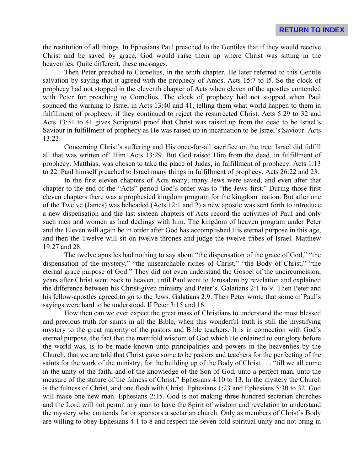the restitution of all things. In Ephesians Paul preached to the Gentiles that if they would receive Christ and be saved by grace, God would raise them up where Christ was sitting in the heavenlies. Quite different, these messages.

Then Peter preached to Cornelius, in the tenth chapter. He later referred to this Gentile salvation by saying that it agreed with the prophecy of Amos. Acts 15:7 to l5. So the clock of prophecy had not stopped in the eleventh chapter of Acts when eleven of the apostles contended with Peter for preaching to Cornelius. The clock of prophecy had not stopped when Paul sounded the warning to Israel in Acts 13:40 and 41, telling them what world happen to them in fulfillment of prophecy, if they continued to reject the resurrected Christ. Acts 5:29 to 32 and Acts 13:31 to 41 gives Scriptural proof that Christ was raised up from the dead to be Israel's Saviour in fulfillment of prophecy as He was raised up in incarnation to be Israel's Saviour. Acts 13:23.

Concerning Christ's suffering and His once-for-all sacrifice on the tree, Israel did fulfill all that was written of' Him. Acts 13:29. But God raised Him from the dead, in fulfillment of prophecy. Matthias, was chosen to take the place of Judas, in fulfillment of prophecy. Acts 1:13 to 22. Paul himself preached to Israel many things in fulfillment of prophecy. Acts 26:22 and 23.

In the first eleven chapters of Acts many, many Jews were saved, and even after that chapter to the end of the "Acts" period God's order was to "the Jews first." During those first eleven chapters there was a prophesied kingdom program for the kingdom nation. But after one of the Twelve (James) was beheaded (Acts 12:1 and 2) a new apostle was sent forth to introduce a new dispensation and the last sixteen chapters of Acts record the activities of Paul and only such men and women as had dealings with him. The kingdom of heaven program under Peter and the Eleven will again be in order after God has accomplished His eternal purpose in this age, and then the Twelve will sit on twelve thrones and judge the twelve tribes of Israel. Matthew 19:27 and 28.

The twelve apostles had nothing to say about "the dispensation of the grace of God," "the dispensation of the mystery," "the unsearchable riches of Christ," "the Body of Christ," "the eternal grace purpose of God." They did not even understand the Gospel of the uncircumcision, years after Christ went back to heaven, until Paul went to Jerusalem by revelation and explained the difference between his Christ-given ministry and Peter's. Galatians 2:1 to 9. Then Peter and his fellow-apostles agreed to go to the Jews. Galatians 2:9. Then Peter wrote that some of Paul's sayings were hard to be understood. II Peter 3:15 and 16.

How then can we ever expect the great mass of Christians to understand the most blessed and precious truth for saints in all the Bible, when this wonderful truth is still the mystifying mystery to the great majority of the pastors and Bible teachers. It is in connection with God's eternal purpose, the fact that the manifold wisdom of God which He ordained to our glory before the world was, is to be made known unto principalities and powers in the heavenlies by the Church, that we are told that Christ gave some to be pastors and teachers for the perfecting of the saints for the work of the ministry, for the building up of the Body of Christ . . . "till we all come in the unity of the faith, and of the knowledge of the Son of God, unto a perfect man, unto the measure of the stature of the fulness of Christ." Ephesians 4:10 to 13. In the mystery the Church is the fulness of Christ, and one flesh with Christ. Ephesians 1:23 and Ephesians 5:30 to 32. God will make one new man. Ephesians 2:15. God is not making three hundred sectarian churches and the Lord will not permit any man to have the Spirit of wisdom and revelation to understand the mystery who contends for or sponsors a sectarian church. Only as members of Christ's Body are willing to obey Ephesians 4:1 to 8 and respect the seven-fold spiritual unity and not bring in